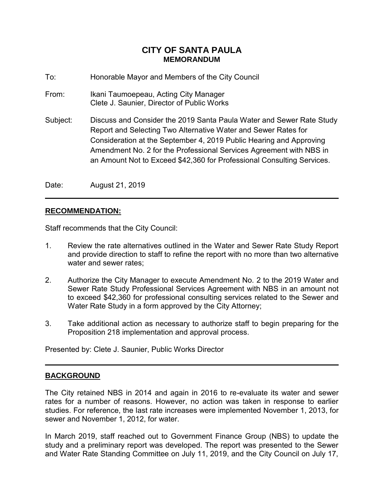# **CITY OF SANTA PAULA MEMORANDUM**

- To: Honorable Mayor and Members of the City Council
- From: Ikani Taumoepeau, Acting City Manager Clete J. Saunier, Director of Public Works
- Subject: Discuss and Consider the 2019 Santa Paula Water and Sewer Rate Study Report and Selecting Two Alternative Water and Sewer Rates for Consideration at the September 4, 2019 Public Hearing and Approving Amendment No. 2 for the Professional Services Agreement with NBS in an Amount Not to Exceed \$42,360 for Professional Consulting Services.

Date: August 21, 2019

## **RECOMMENDATION:**

Staff recommends that the City Council:

- 1. Review the rate alternatives outlined in the Water and Sewer Rate Study Report and provide direction to staff to refine the report with no more than two alternative water and sewer rates;
- 2. Authorize the City Manager to execute Amendment No. 2 to the 2019 Water and Sewer Rate Study Professional Services Agreement with NBS in an amount not to exceed \$42,360 for professional consulting services related to the Sewer and Water Rate Study in a form approved by the City Attorney;
- 3. Take additional action as necessary to authorize staff to begin preparing for the Proposition 218 implementation and approval process.

Presented by: Clete J. Saunier, Public Works Director

#### ֺ֝֡ **BACKGROUND**

The City retained NBS in 2014 and again in 2016 to re-evaluate its water and sewer rates for a number of reasons. However, no action was taken in response to earlier studies. For reference, the last rate increases were implemented November 1, 2013, for sewer and November 1, 2012, for water.

In March 2019, staff reached out to Government Finance Group (NBS) to update the study and a preliminary report was developed. The report was presented to the Sewer and Water Rate Standing Committee on July 11, 2019, and the City Council on July 17,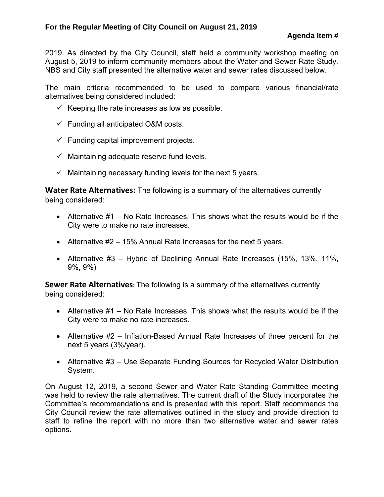2019. As directed by the City Council, staff held a community workshop meeting on August 5, 2019 to inform community members about the Water and Sewer Rate Study. NBS and City staff presented the alternative water and sewer rates discussed below.

The main criteria recommended to be used to compare various financial/rate alternatives being considered included:

- $\checkmark$  Keeping the rate increases as low as possible.
- $\checkmark$  Funding all anticipated O&M costs.
- $\checkmark$  Funding capital improvement projects.
- $\checkmark$  Maintaining adequate reserve fund levels.
- $\checkmark$  Maintaining necessary funding levels for the next 5 years.

**Water Rate Alternatives:** The following is a summary of the alternatives currently being considered:

- Alternative #1 No Rate Increases. This shows what the results would be if the City were to make no rate increases.
- Alternative #2 15% Annual Rate Increases for the next 5 years.
- Alternative #3 Hybrid of Declining Annual Rate Increases (15%, 13%, 11%, 9%, 9%)

**Sewer Rate Alternatives:** The following is a summary of the alternatives currently being considered:

- Alternative  $#1 No$  Rate Increases. This shows what the results would be if the City were to make no rate increases.
- Alternative #2 Inflation-Based Annual Rate Increases of three percent for the next 5 years (3%/year).
- Alternative #3 Use Separate Funding Sources for Recycled Water Distribution System.

On August 12, 2019, a second Sewer and Water Rate Standing Committee meeting was held to review the rate alternatives. The current draft of the Study incorporates the Committee's recommendations and is presented with this report. Staff recommends the City Council review the rate alternatives outlined in the study and provide direction to staff to refine the report with no more than two alternative water and sewer rates options.